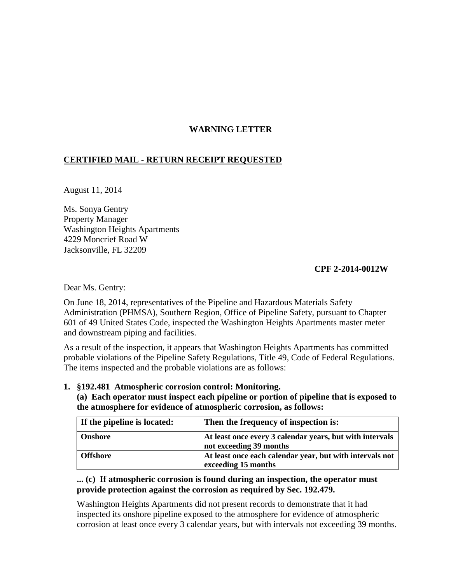## **WARNING LETTER**

# **CERTIFIED MAIL - RETURN RECEIPT REQUESTED**

August 11, 2014

Ms. Sonya Gentry Property Manager Washington Heights Apartments 4229 Moncrief Road W Jacksonville, FL 32209

### **CPF 2-2014-0012W**

Dear Ms. Gentry:

On June 18, 2014, representatives of the Pipeline and Hazardous Materials Safety Administration (PHMSA), Southern Region, Office of Pipeline Safety, pursuant to Chapter 601 of 49 United States Code, inspected the Washington Heights Apartments master meter and downstream piping and facilities.

As a result of the inspection, it appears that Washington Heights Apartments has committed probable violations of the Pipeline Safety Regulations, Title 49, Code of Federal Regulations. The items inspected and the probable violations are as follows:

### **1. §192.481 Atmospheric corrosion control: Monitoring.**

**(a) Each operator must inspect each pipeline or portion of pipeline that is exposed to the atmosphere for evidence of atmospheric corrosion, as follows:**

| If the pipeline is located: | Then the frequency of inspection is:                                                |
|-----------------------------|-------------------------------------------------------------------------------------|
| <b>Onshore</b>              | At least once every 3 calendar years, but with intervals<br>not exceeding 39 months |
| <b>Offshore</b>             | At least once each calendar year, but with intervals not<br>exceeding 15 months     |

### **... (c) If atmospheric corrosion is found during an inspection, the operator must provide protection against the corrosion as required by Sec. 192.479.**

Washington Heights Apartments did not present records to demonstrate that it had inspected its onshore pipeline exposed to the atmosphere for evidence of atmospheric corrosion at least once every 3 calendar years, but with intervals not exceeding 39 months.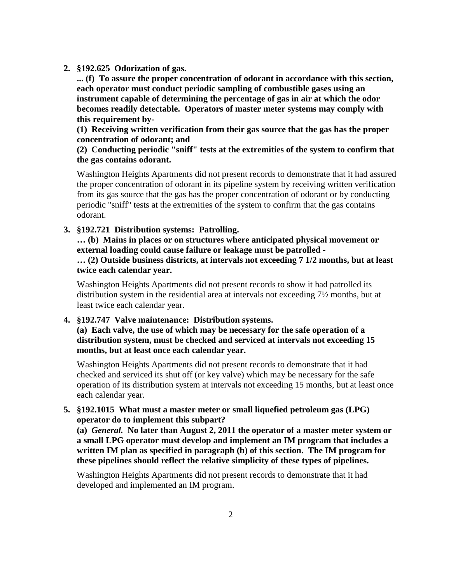**2. §192.625 Odorization of gas.**

**... (f) To assure the proper concentration of odorant in accordance with this section, each operator must conduct periodic sampling of combustible gases using an instrument capable of determining the percentage of gas in air at which the odor becomes readily detectable. Operators of master meter systems may comply with this requirement by-**

**(1) Receiving written verification from their gas source that the gas has the proper concentration of odorant; and** 

**(2) Conducting periodic "sniff" tests at the extremities of the system to confirm that the gas contains odorant.**

Washington Heights Apartments did not present records to demonstrate that it had assured the proper concentration of odorant in its pipeline system by receiving written verification from its gas source that the gas has the proper concentration of odorant or by conducting periodic "sniff" tests at the extremities of the system to confirm that the gas contains odorant.

**3. §192.721 Distribution systems: Patrolling.** 

**… (b) Mains in places or on structures where anticipated physical movement or external loading could cause failure or leakage must be patrolled - … (2) Outside business districts, at intervals not exceeding 7 1/2 months, but at least** 

**twice each calendar year.**

Washington Heights Apartments did not present records to show it had patrolled its distribution system in the residential area at intervals not exceeding 7½ months, but at least twice each calendar year.

**4. §192.747 Valve maintenance: Distribution systems.** 

**(a) Each valve, the use of which may be necessary for the safe operation of a distribution system, must be checked and serviced at intervals not exceeding 15 months, but at least once each calendar year.**

Washington Heights Apartments did not present records to demonstrate that it had checked and serviced its shut off (or key valve) which may be necessary for the safe operation of its distribution system at intervals not exceeding 15 months, but at least once each calendar year.

**5. §192.1015 What must a master meter or small liquefied petroleum gas (LPG) operator do to implement this subpart?**

**(a)** *General.* **No later than August 2, 2011 the operator of a master meter system or a small LPG operator must develop and implement an IM program that includes a written IM plan as specified in paragraph (b) of this section. The IM program for these pipelines should reflect the relative simplicity of these types of pipelines.**

Washington Heights Apartments did not present records to demonstrate that it had developed and implemented an IM program.